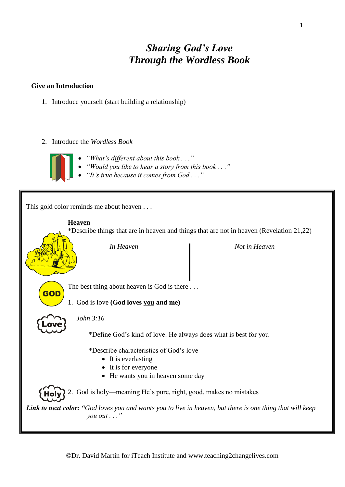## *Sharing God's Love Through the Wordless Book*

#### **Give an Introduction**

- 1. Introduce yourself (start building a relationship)
- 2. Introduce the *Wordless Book*



- *"What's different about this book . . ."*
- *"Would you like to hear a story from this book . . ."*
- *"It's true because it comes from God . . ."*

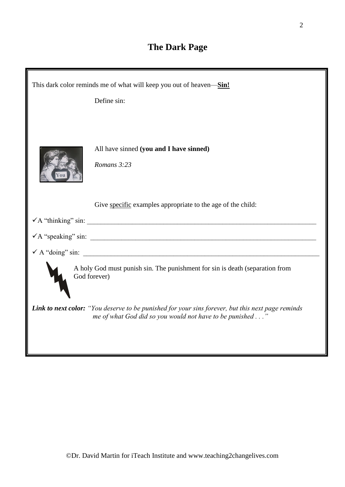# **The Dark Page**

| This dark color reminds me of what will keep you out of heaven-Sin! |                                                                                                                                                               |  |  |  |
|---------------------------------------------------------------------|---------------------------------------------------------------------------------------------------------------------------------------------------------------|--|--|--|
|                                                                     | Define sin:                                                                                                                                                   |  |  |  |
|                                                                     | All have sinned (you and I have sinned)                                                                                                                       |  |  |  |
|                                                                     | Romans 3:23                                                                                                                                                   |  |  |  |
|                                                                     |                                                                                                                                                               |  |  |  |
|                                                                     | Give specific examples appropriate to the age of the child:                                                                                                   |  |  |  |
|                                                                     |                                                                                                                                                               |  |  |  |
|                                                                     |                                                                                                                                                               |  |  |  |
|                                                                     |                                                                                                                                                               |  |  |  |
|                                                                     | A holy God must punish sin. The punishment for sin is death (separation from<br>God forever)                                                                  |  |  |  |
|                                                                     | Link to next color: "You deserve to be punished for your sins forever, but this next page reminds<br>me of what God did so you would not have to be punished" |  |  |  |
|                                                                     |                                                                                                                                                               |  |  |  |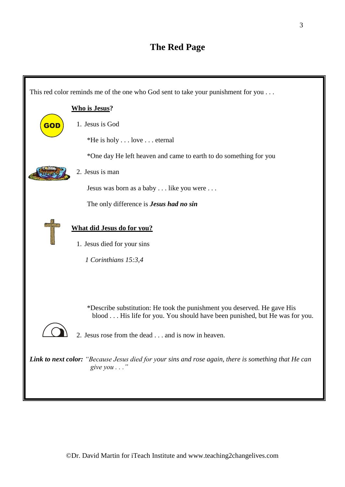### **The Red Page**

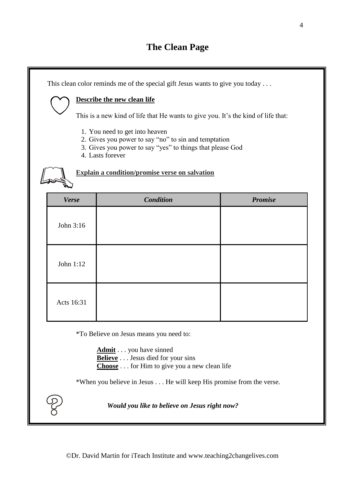### **The Clean Page**

This clean color reminds me of the special gift Jesus wants to give you today . . . **Describe the new clean life** This is a new kind of life that He wants to give you. It's the kind of life that: 1. You need to get into heaven 2. Gives you power to say "no" to sin and temptation 3. Gives you power to say "yes" to things that please God 4. Lasts forever **Explain a condition/promise verse on salvation** *Verse Condition Promise* John 3:16 John 1:12 Acts 16:31

\*To Believe on Jesus means you need to:

**Admit** . . . you have sinned **Believe** . . . Jesus died for your sins **Choose** . . . for Him to give you a new clean life

\*When you believe in Jesus . . . He will keep His promise from the verse.

 *Would you like to believe on Jesus right now?*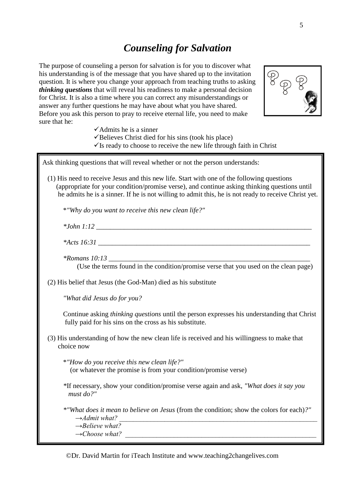#### *Counseling for Salvation*

The purpose of counseling a person for salvation is for you to discover what his understanding is of the message that you have shared up to the invitation question. It is where you change your approach from teaching truths to asking *thinking questions* that will reveal his readiness to make a personal decision for Christ. It is also a time where you can correct any misunderstandings or answer any further questions he may have about what you have shared. Before you ask this person to pray to receive eternal life, you need to make sure that he:



- $\checkmark$  Admits he is a sinner
- ✓Believes Christ died for his sins (took his place)
- $\checkmark$  Is ready to choose to receive the new life through faith in Christ

Ask thinking questions that will reveal whether or not the person understands:

 (1) His need to receive Jesus and this new life. Start with one of the following questions (appropriate for your condition/promise verse), and continue asking thinking questions until he admits he is a sinner. If he is not willing to admit this, he is not ready to receive Christ yet.

\**"Why do you want to receive this new clean life?"*

| $*L_{\text{obs}} 1.12$<br>,,,,, , , , , |  |  |
|-----------------------------------------|--|--|
|                                         |  |  |

*\*Acts 16:31 \_\_\_\_\_\_\_\_\_\_\_\_\_\_\_\_\_\_\_\_\_\_\_\_\_\_\_\_\_\_\_\_\_\_\_\_\_\_\_\_\_\_\_\_\_\_\_\_\_\_\_\_\_\_\_\_\_\_\_\_\_*

*\*Romans 10:13 \_\_\_\_\_\_\_\_\_\_\_\_\_\_\_\_\_\_\_\_\_\_\_\_\_\_\_\_\_\_\_\_\_\_\_\_\_\_\_\_\_\_\_\_\_\_\_\_\_\_\_\_\_\_\_\_\_\_* (Use the terms found in the condition/promise verse that you used on the clean page)

(2) His belief that Jesus (the God-Man) died as his substitute

*"What did Jesus do for you?*

Continue asking *thinking questions* until the person expresses his understanding that Christ fully paid for his sins on the cross as his substitute.

 (3) His understanding of how the new clean life is received and his willingness to make that choice now

\**"How do you receive this new clean life?"* (or whatever the promise is from your condition/promise verse)

*\**If necessary, show your condition/promise verse again and ask, *"What does it say you must do?"*

*\*"What does it mean to believe on Jesus* (from the condition; show the colors for each)*?"*  $\rightarrow$ Admit what?

 *→Believe what?* 

 $\rightarrow Choose$  what?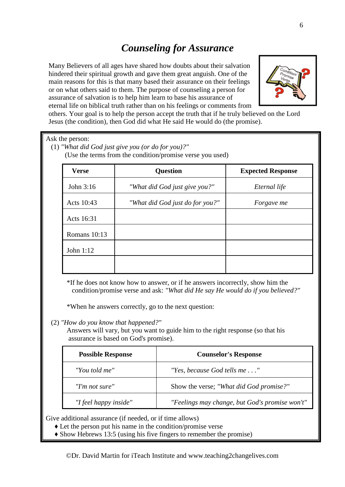# *Counseling for Assurance*

Many Believers of all ages have shared how doubts about their salvation hindered their spiritual growth and gave them great anguish. One of the main reasons for this is that many based their assurance on their feelings or on what others said to them. The purpose of counseling a person for assurance of salvation is to help him learn to base his assurance of eternal life on biblical truth rather than on his feelings or comments from



others. Your goal is to help the person accept the truth that if he truly believed on the Lord Jesus (the condition), then God did what He said He would do (the promise).

| <b>Verse</b> | <b>Question</b>                 | <b>Expected Response</b> |
|--------------|---------------------------------|--------------------------|
| John 3:16    | "What did God just give you?"   | Eternal life             |
| Acts 10:43   | "What did God just do for you?" | Forgave me               |
| Acts 16:31   |                                 |                          |
| Romans 10:13 |                                 |                          |

\*If he does not know how to answer, or if he answers incorrectly, show him the condition/promise verse and ask: *"What did He say He would do if you believed?"*

\*When he answers correctly, go to the next question:

(2) *"How do you know that happened?"*

Answers will vary, but you want to guide him to the right response (so that his assurance is based on God's promise).

| <b>Possible Response</b> | <b>Counselor's Response</b>                    |
|--------------------------|------------------------------------------------|
| "You told me"            | "Yes, because God tells me"                    |
| "I'm not sure"           | Show the verse; "What did God promise?"        |
| "I feel happy inside"    | "Feelings may change, but God's promise won't" |

Give additional assurance (if needed, or if time allows)

- ♦ Let the person put his name in the condition/promise verse
- ♦ Show Hebrews 13:5 (using his five fingers to remember the promise)